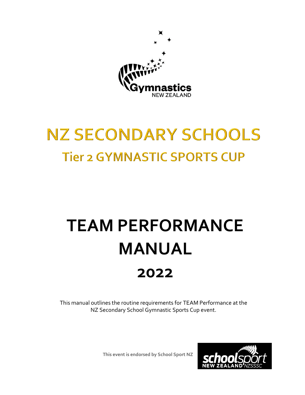

## **NZ SECONDARY SCHOOLS Tier 2 GYMNASTIC SPORTS CUP**

# **TEAM PERFORMANCE MANUAL 2022**

This manual outlines the routine requirements for TEAM Performance at the NZ Secondary School Gymnastic Sports Cup event.

**This event is endorsed by School Sport NZ**

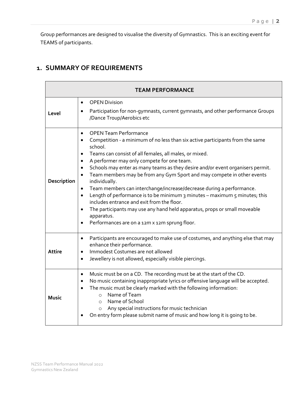Group performances are designed to visualise the diversity of Gymnastics. This is an exciting event for TEAMS of participants.

#### **1. SUMMARY OF REQUIREMENTS**

 $\overline{a}$ 

| <b>TEAM PERFORMANCE</b> |                                                                                                                                                                                                                                                                                                                                                                                                                                                                                                                                                                                                                                                                                                                                                                                                                                                                                         |  |  |
|-------------------------|-----------------------------------------------------------------------------------------------------------------------------------------------------------------------------------------------------------------------------------------------------------------------------------------------------------------------------------------------------------------------------------------------------------------------------------------------------------------------------------------------------------------------------------------------------------------------------------------------------------------------------------------------------------------------------------------------------------------------------------------------------------------------------------------------------------------------------------------------------------------------------------------|--|--|
| Level                   | <b>OPEN Division</b><br>$\bullet$<br>Participation for non-gymnasts, current gymnasts, and other performance Groups<br>$\bullet$<br>/Dance Troup/Aerobics etc                                                                                                                                                                                                                                                                                                                                                                                                                                                                                                                                                                                                                                                                                                                           |  |  |
| Description             | <b>OPEN Team Performance</b><br>$\bullet$<br>Competition - a minimum of no less than six active participants from the same<br>$\bullet$<br>school.<br>Teams can consist of all females, all males, or mixed.<br>٠<br>A performer may only compete for one team.<br>$\bullet$<br>Schools may enter as many teams as they desire and/or event organisers permit.<br>$\bullet$<br>Team members may be from any Gym Sport and may compete in other events<br>$\bullet$<br>individually.<br>Team members can interchange/increase/decrease during a performance.<br>$\bullet$<br>Length of performance is to be minimum 3 minutes - maximum 5 minutes; this<br>$\bullet$<br>includes entrance and exit from the floor.<br>The participants may use any hand held apparatus, props or small moveable<br>$\bullet$<br>apparatus.<br>Performances are on a 12m x 12m sprung floor.<br>$\bullet$ |  |  |
| Attire                  | Participants are encouraged to make use of costumes, and anything else that may<br>$\bullet$<br>enhance their performance.<br>Immodest Costumes are not allowed<br>$\bullet$<br>Jewellery is not allowed, especially visible piercings.<br>$\bullet$                                                                                                                                                                                                                                                                                                                                                                                                                                                                                                                                                                                                                                    |  |  |
| Music                   | Music must be on a CD. The recording must be at the start of the CD.<br>$\bullet$<br>No music containing inappropriate lyrics or offensive language will be accepted.<br>$\bullet$<br>The music must be clearly marked with the following information:<br>$\bullet$<br>Name of Team<br>$\circ$<br>Name of School<br>$\Omega$<br>Any special instructions for music technician<br>$\circ$<br>On entry form please submit name of music and how long it is going to be.                                                                                                                                                                                                                                                                                                                                                                                                                   |  |  |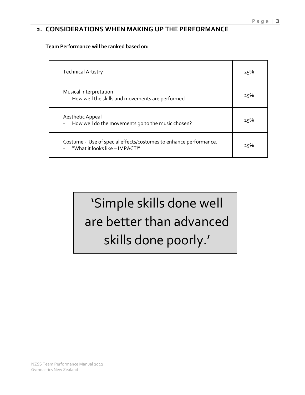#### **2. CONSIDERATIONS WHEN MAKING UP THE PERFORMANCE**

**Team Performance will be ranked based on:** 

| <b>Technical Artistry</b>                                                                             | 25% |
|-------------------------------------------------------------------------------------------------------|-----|
| Musical Interpretation<br>How well the skills and movements are performed                             | 25% |
| Aesthetic Appeal<br>How well do the movements go to the music chosen?                                 | 25% |
| Costume - Use of special effects/costumes to enhance performance.<br>- "What it looks like - IMPACT!" | 25% |

'Simple skills done well are better than advanced skills done poorly.'